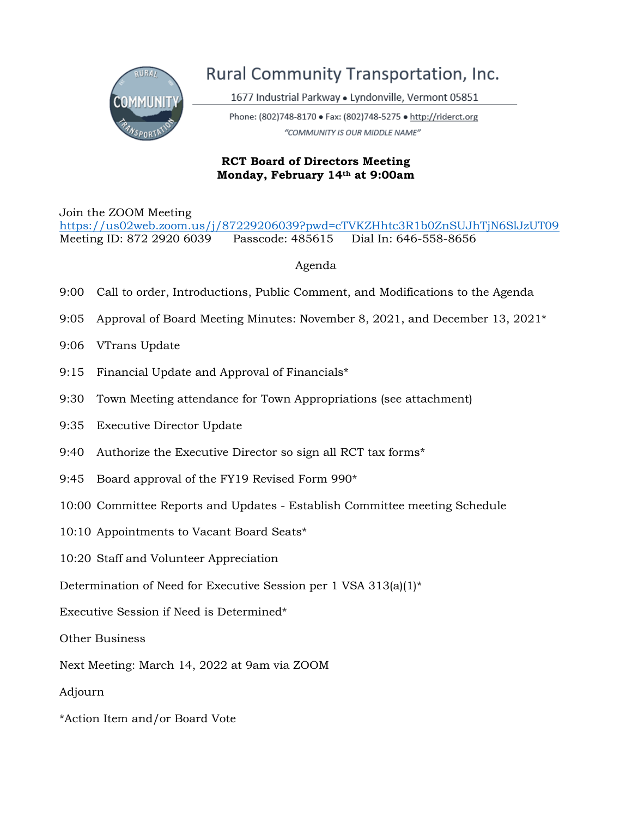

## Rural Community Transportation, Inc.

1677 Industrial Parkway · Lyndonville, Vermont 05851

Phone: (802)748-8170 · Fax: (802)748-5275 · http://riderct.org "COMMUNITY IS OUR MIDDLE NAME"

## **RCT Board of Directors Meeting Monday, February 14th at 9:00am**

Join the ZOOM Meeting

<https://us02web.zoom.us/j/87229206039?pwd=cTVKZHhtc3R1b0ZnSUJhTjN6SlJzUT09> Meeting ID: 872 2920 6039 Passcode: 485615 Dial In: 646-558-8656

## Agenda

- 9:00 Call to order, Introductions, Public Comment, and Modifications to the Agenda
- 9:05 Approval of Board Meeting Minutes: November 8, 2021, and December 13, 2021\*
- 9:06 VTrans Update
- 9:15 Financial Update and Approval of Financials\*
- 9:30 Town Meeting attendance for Town Appropriations (see attachment)
- 9:35 Executive Director Update
- 9:40 Authorize the Executive Director so sign all RCT tax forms\*
- 9:45 Board approval of the FY19 Revised Form 990\*
- 10:00 Committee Reports and Updates Establish Committee meeting Schedule
- 10:10 Appointments to Vacant Board Seats\*
- 10:20 Staff and Volunteer Appreciation
- Determination of Need for Executive Session per 1 VSA 313(a)(1)\*
- Executive Session if Need is Determined\*
- Other Business
- Next Meeting: March 14, 2022 at 9am via ZOOM
- Adjourn
- \*Action Item and/or Board Vote